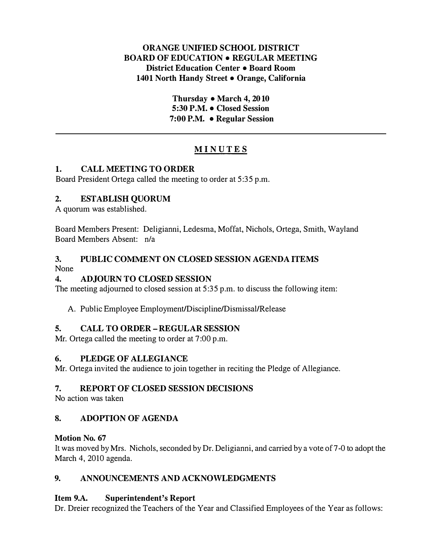## ORANGE UNIFIED SCHOOL DISTRICT BOARD OF EDUCATION • REGULAR MEETING District Education Center • Board Room 1401 North Handy Street • Orange, California

Thursday • March 4, 2010 5:30 P.M. • Closed Session 7:00 P.M. • Regular Session

# **MINUTES**

## 1. CALL MEETING TO ORDER

Board President Ortega called the meeting to order at 5:35 p.m.

# 2. ESTABLISH QUORUM

A quorum was established.

Board Members Present: Deligianni, Ledesma, Moffat, Nichols, Ortega, Smith, Wayland Board Members Absent: n/a

#### 3. PUBLIC COMMENT ON CLOSED SESSION AGENDA ITEMS None

# 4. ADJOURN TO CLOSED SESSION

The meeting adjourned to closed session at 5:35 p.m. to discuss the following item:

A. Public Employee Employment/Discipline/Dismissal/Release

# 5. CALL TO ORDER- REGULAR SESSION

Mr. Ortega called the meeting to order at 7:00 p.m.

# 6. PLEDGE OF ALLEGIANCE

Mr. Ortega invited the audience to join together in reciting the Pledge of Allegiance.

# 7. REPORT OF CLOSED SESSION DECISIONS

No action was taken

# 8. ADOPTION OF AGENDA

# Motion No. 67

It was moved by Mrs. Nichols, seconded by Dr. Deligianni, and carried by a vote of 7-0 to adopt the March 4, 2010 agenda.

# 9. ANNOUNCEMENTS AND ACKNOWLEDGMENTS

# Item 9.A. Superintendent's Report

Dr. Dreier recognized the Teachers of the Year and Classified Employees of the Year as follows: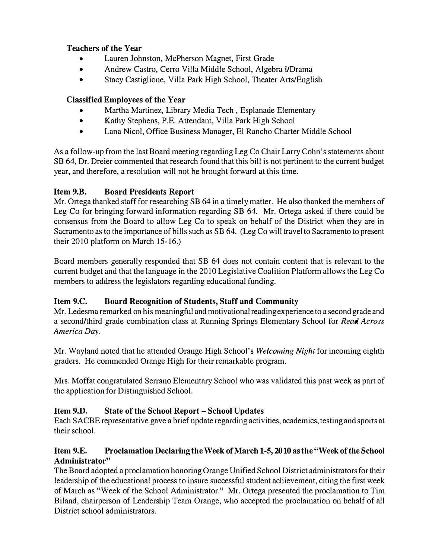## Teachers of the Year

- Lauren Johnston, McPherson Magnet, First Grade
- Andrew Castro, Cerro Villa Middle School, Algebra I/Drama
- Stacy Castiglione, Villa Park High School, Theater Arts/English

# Classified Employees of the Year

- Martha Martinez, Library Media Tech , Esplanade Elementary
- Kathy Stephens, P.E. Attendant, Villa Park High School
- Lana Nicol, Office Business Manager, El Rancho Charter Middle School

As a follow-up from the last Board meeting regarding Leg Co Chair Larry Cohn's statements about SB 64, Dr. Dreier commented that research found that this bill is not pertinent to the current budget year, and therefore, a resolution will not be brought forward at this time.

# Item 9.B. Board Presidents Report

Mr. Ortega thanked staff for researching SB 64 in a timely matter. He also thanked the members of Leg Co for bringing forward information regarding SB 64. Mr. Ortega asked if there could be consensus from the Board to allow Leg Co to speak on behalf of the District when they are in Sacramento as to the importance of bills such as SB 64. (Leg Co will travel to Sacramento to present their 2010 platform on March 15-16.)

Board members generally responded that SB 64 does not contain content that is relevant to the cunent budget and that the language in the 2010 Legislative Coalition Platform allows the Leg Co members to address the legislators regarding educational funding.

# Item 9.C. Board Recognition of Students, Staff and Community

Mr. Ledesma remarked on his meaningful and motivational reading experience to a second grade and a second/third grade combination class at Running Springs Elementary School for Read Across America Day.

Mr. Wayland noted that he attended Orange High School's Welcoming Night for incoming eighth graders. He commended Orange High for their remarkable program.

Mrs. Moffat congratulated Serrano Elementary School who was validated this past week as part of the application for Distinguished School.

# Item 9.D. State of the School Report- School Updates

Each SACBE representative gave a brief update regarding activities, academics, testing and sports at their school.

## Item 9.E. Proclamation Declaring the Week of March 1-5, 2010 as the "Week of the School Administrator"

The Board adopted a proclamation honoring Orange Unified School District administrators for their leadership of the educational process to insure successful student achievement, citing the first week of March as "Week of the School Administrator." Mr. Ottega presented the proclamation to Tim Eiland, chairperson of Leadership Team Orange, who accepted the proclamation on behalf of all District school administrators.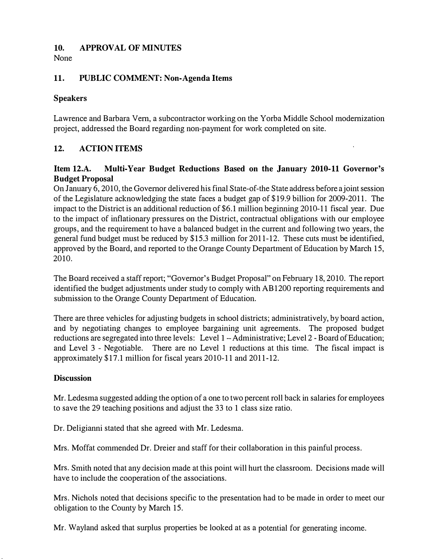### 10. APPROVAL OF MINUTES

None

## 11. PUBLIC COMMENT: Non-Agenda Items

## Speakers

Lawrence and Barbara Vern, a subcontractor working on the Yorba Middle School modernization project, addressed the Board regarding non-payment for work completed on site.

# 12. ACTION ITEMS

### Item 12.A. Multi-Year Budget Reductions Based on the January 2010-11 Governor's Budget Proposal

On January 6, 2010, the Governor delivered his final State-of-the State address before a joint session of the Legislature acknowledging the state faces a budget gap of \$19.9 billion for 2009-2011. The impact to the District is an additional reduction of \$6.1 million beginning 2010-11 fiscal year. Due to the impact of inflationary pressures on the District, contractual obligations with our employee groups, and the requirement to have a balanced budget in the current and following two years, the general fund budget must be reduced by \$15.3 million for 2011-12. These cuts must be identified, approved by the Board, and reported to the Orange County Department of Education by March 15, 2010.

The Board received a staff report; "Governor's Budget Proposal" on February 18, 2010. The report identified the budget adjustments under study to comply with AB 1200 reporting requirements and submission to the Orange County Department of Education.

There are three vehicles for adjusting budgets in school districts; administratively, by board action, and by negotiating changes to employee bargaining unit agreements. The proposed budget reductions are segregated into three levels: Level 1 - Administrative; Level 2 - Board of Education; and Level 3 - Negotiable. There are no Level 1 reductions at this time. The fiscal impact is approximately \$17.1 million for fiscal years 2010-11 and 2011-12.

#### **Discussion**

Mr. Ledesma suggested adding the option of a one to two percent roll back in salaries for employees to save the 29 teaching positions and adjust the 33 to 1 class size ratio.

Dr. Deligianni stated that she agreed with Mr. Ledesma.

Mrs. Moffat commended Dr. Dreier and staff for their collaboration in this painful process.

Mrs. Smith noted that any decision made at this point will hurt the classroom. Decisions made will have to include the cooperation of the associations.

Mrs. Nichols noted that decisions specific to the presentation had to be made in order to meet our obligation to the County by March 15.

Mr. Wayland asked that surplus properties be looked at as a potential for generating income.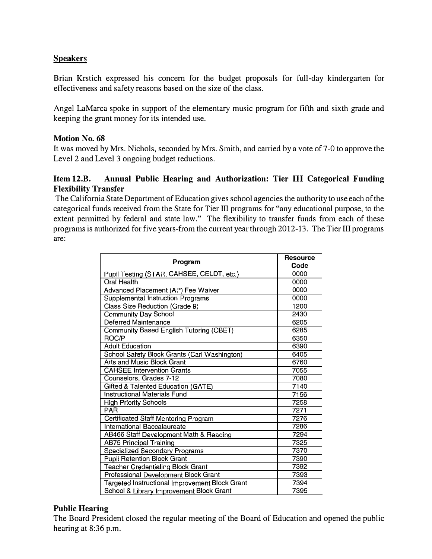# **Speakers**

Brian Krstich expressed his concern for the budget proposals for full-day kindergarten for effectiveness and safety reasons based on the size of the class.

Angel LaMarca spoke in support of the elementary music program for fifth and sixth grade and keeping the grant money for its intended use.

#### Motion No. 68

It was moved by Mrs. Nichols, seconded by Mrs. Smith, and carried by a vote of 7-0 to approve the Level 2 and Level 3 ongoing budget reductions.

#### Item 12.B. Annual Public Hearing and Authorization: Tier III Categorical Funding Flexibility Transfer

The California State Department of Education gives school agencies the authority to use each of the categorical funds received from the State for Tier III programs for "any educational purpose, to the extent permitted by federal and state law." The flexibility to transfer funds from each of these programs is authorized for five years-from the current year through 2012-13. The Tier III programs are:

| Program                                        | <b>Resource</b><br>Code |
|------------------------------------------------|-------------------------|
| Pupil Testing (STAR, CAHSEE, CELDT, etc.)      | 0000                    |
| Oral Health                                    | 0000                    |
| Advanced Placement (AP) Fee Waiver             | 0000                    |
| Supplemental Instruction Programs              | 0000                    |
| Class Size Reduction (Grade 9)                 | 1200                    |
| <b>Community Day School</b>                    | 2430                    |
| <b>Deferred Maintenance</b>                    | 6205                    |
| <b>Community Based English Tutoring (CBET)</b> | 6285                    |
| ROC/P                                          | 6350                    |
| <b>Adult Education</b>                         | 6390                    |
| School Safety Block Grants (Carl Washington)   | 6405                    |
| Arts and Music Block Grant                     | 6760                    |
| <b>CAHSEE Intervention Grants</b>              | 7055                    |
| Counselors, Grades 7-12                        | 7080                    |
| Gifted & Talented Education (GATE)             | 7140                    |
| <b>Instructional Materials Fund</b>            | 7156                    |
| <b>High Priority Schools</b>                   | 7258                    |
| <b>PAR</b>                                     | 7271                    |
| Certificated Staff Mentoring Program           | 7276                    |
| International Baccalaureate                    | 7286                    |
| AB466 Staff Development Math & Reading         | 7294                    |
| <b>AB75 Principal Training</b>                 | 7325                    |
| <b>Specialized Secondary Programs</b>          | 7370                    |
| <b>Pupil Retention Block Grant</b>             | 7390                    |
| <b>Teacher Credentialing Block Grant</b>       | 7392                    |
| Professional Development Block Grant           | 7393                    |
| Targeted Instructional Improvement Block Grant | 7394                    |
| School & Library Improvement Block Grant       | 7395                    |

#### Public Hearing

The Board President closed the regular meeting of the Board of Education and opened the public hearing at 8:36 p.m.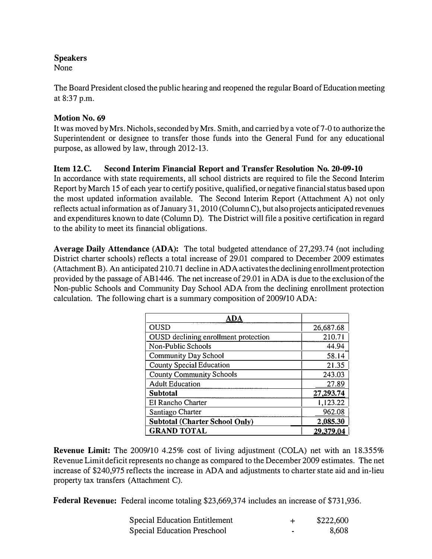# Speakers

None

The Board President closed the public hearing and reopened the regular Board of Education meeting at 8:37 p.m.

# Motion No. 69

It was moved by Mrs. Nichols, seconded by Mrs. Smith, and carried by a vote of 7-0 to authorize the Superintendent or designee to transfer those funds into the General Fund for any educational purpose, as allowed by law, through 2012-13.

# Item 12.C. Second Interim Financial Report and Transfer Resolution No. 20·09-10

In accordance with state requirements, all school districts are required to file the Second Interim Report by March 15 of each year to certify positive, qualified, or negative financial status based upon the most updated information available. The Second Interim Report (Attachment A) not only reflects actual information as of January 31, 2010 (Column C), but also projects anticipated revenues and expenditures known to date (Column D). The District will file a positive certification in regard to the ability to meet its financial obligations.

Average Daily Attendance (ADA): The total budgeted attendance of 27,293.74 (not including District charter schools) reflects a total increase of 29.01 compared to December 2009 estimates (Attachment B). An anticipated 210.71 decline in ADA activates the declining enrollment protection provided by the passage of AB 1446. The net increase of 29.01 in A DA is due to the exclusion of the Non-public Schools and Community Day School ADA from the declining enrollment protection calculation. The following chart is a summary composition of 2009/10 ADA:

| ADA                                   |           |
|---------------------------------------|-----------|
| <b>OUSD</b>                           | 26,687.68 |
| OUSD declining enrollment protection  | 210.71    |
| Non-Public Schools                    | 44.94     |
| <b>Community Day School</b>           | 58.14     |
| <b>County Special Education</b>       | 21.35     |
| <b>County Community Schools</b>       | 243.03    |
| <b>Adult Education</b>                | 27.89     |
| <b>Subtotal</b>                       | 27,293.74 |
| El Rancho Charter                     | 1,123.22  |
| Santiago Charter                      | 962.08    |
| <b>Subtotal (Charter School Only)</b> | 2,085.30  |
| <b>GRAND TOTAL</b>                    | 29,379.04 |

Revenue Limit: The 2009/10 4.25% cost of living adjustment (COLA) net with an 18.355% Revenue Limit deficit represents no change as compared to the December 2009 estimates. The net increase of \$240,975 reflects the increase in ADA and adjustments to charter state aid and in-lieu property tax transfers (Attachment C).

Federal Revenue: Federal income totaling \$23,669,374 includes an increase of \$731,936.

| <b>Special Education Entitlement</b> | \$222,600 |
|--------------------------------------|-----------|
| <b>Special Education Preschool</b>   | 8.608     |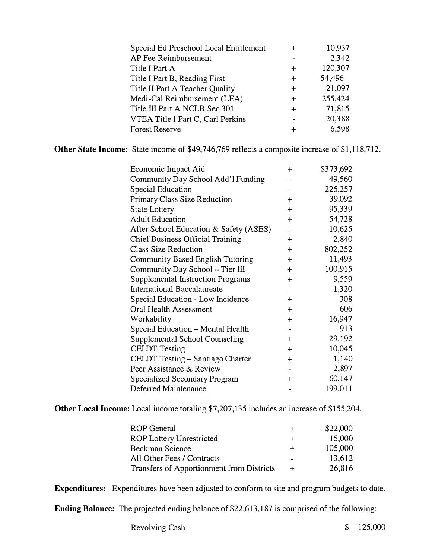| Special Ed Preschool Local Entitlement |        | 10,937  |
|----------------------------------------|--------|---------|
| AP Fee Reimbursement                   |        | 2,342   |
| Title I Part A                         | ┿      | 120,307 |
| Title I Part B, Reading First          | $\div$ | 54,496  |
| Title II Part A Teacher Quality        | $\div$ | 21,097  |
| Medi-Cal Reimbursement (LEA)           | $\div$ | 255,424 |
| Title III Part A NCLB Sec 301          | $\div$ | 71,815  |
| VTEA Title I Part C, Carl Perkins      | ж.     | 20,388  |
| <b>Forest Reserve</b>                  |        | 6,598   |

Other State Income: State income of \$49,746,769 reflects a composite increase of \$1,118,712.

| Economic Impact Aid                      | $\div$    | \$373,692 |
|------------------------------------------|-----------|-----------|
| Community Day School Add'l Funding       |           | 49,560    |
| <b>Special Education</b>                 |           | 225,257   |
| <b>Primary Class Size Reduction</b>      | $\ddot{}$ | 39,092    |
| <b>State Lottery</b>                     | $+$       | 95,339    |
| <b>Adult Education</b>                   | $\ddot{}$ | 54,728    |
| After School Education & Safety (ASES)   |           | 10,625    |
| <b>Chief Business Official Training</b>  | $\div$    | 2,840     |
| <b>Class Size Reduction</b>              | $+$       | 802,252   |
| <b>Community Based English Tutoring</b>  | $+$       | 11,493    |
| Community Day School - Tier III          | $+$       | 100,915   |
| <b>Supplemental Instruction Programs</b> | $\ddot{}$ | 9,559     |
| <b>International Baccalaureate</b>       |           | 1,320     |
| Special Education - Low Incidence        | $\ddot{}$ | 308       |
| <b>Oral Health Assessment</b>            | $\ddot{}$ | 606       |
| Workability                              | $\ddot{}$ | 16,947    |
| Special Education -- Mental Health       |           | 913       |
| Supplemental School Counseling           | $\div$    | 29,192    |
| <b>CELDT</b> Testing                     | $+$       | 10,045    |
| <b>CELDT Testing - Santiago Charter</b>  | $+$       | 1,140     |
| Peer Assistance & Review                 |           | 2,897     |
| <b>Specialized Secondary Program</b>     | $\ddot{}$ | 60,147    |
| <b>Deferred Maintenance</b>              |           | 199,011   |

Other Local Income: Local income totaling \$7,207,135 includes an increase of \$155,204.

| <b>ROP</b> General                        | ┿      | \$22,000 |
|-------------------------------------------|--------|----------|
| <b>ROP Lottery Unrestricted</b>           | $\div$ | 15,000   |
| Beckman Science                           | $\div$ | 105,000  |
| All Other Fees / Contracts                |        | 13.612   |
| Transfers of Apportionment from Districts | $\div$ | 26,816   |

Expenditures: Expenditures have been adjusted to conform to site and program budgets to date.

Ending Balance: The projected ending balance of \$22,613,187 is comprised of the following: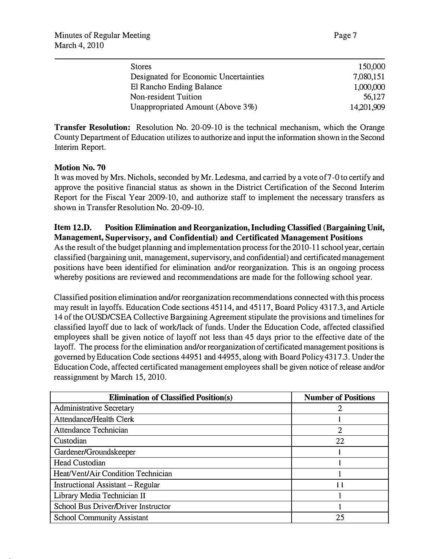| <b>Stores</b>                         | 150,000    |
|---------------------------------------|------------|
| Designated for Economic Uncertainties | 7,080,151  |
| El Rancho Ending Balance              | 1,000,000  |
| Non-resident Tuition                  | 56,127     |
| Unappropriated Amount (Above 3%)      | 14,201,909 |

**Transfer Resolution:** Resolution No. 20-09-10 is the technical mechanism, which the Orange County Department of Education utilizes to authorize and input the information shown in the Second Interim Report.

#### Motion No. 70

It was moved by Mrs. Nichols, seconded by Mr. Ledesma, and carried by a vote of 7-0 to certify and approve the positive financial status as shown in the District Certification of the Second Interim Report for the Fiscal Year 2009-10, and authorize staff to implement the necessary transfers as shown in Transfer Resolution No. 20-09-10.

#### Item 12.D. Position Elimination and Reorganization, Including Classified (Bargaining Unit, Management, Supervisory, and Confidential) and Certificated Management Positions

As the result of the budget planning and implementation process for the 2010-11 school year, certain classified (bargaining unit, management, supervisory, and confidential) and certificated management positions have been identified for elimination and/or reorganization. This is an ongoing process whereby positions are reviewed and recommendations are made for the following school year.

Classified position elimination and/or reorganization recommendations connected with this process may result in layoffs. Education Code sections 45114, and 45117, Board Policy 4317.3, and Article 14 of the OUSD/CSEA Collective Bargaining Agreement stipulate the provisions and timelines for classified layoff due to lack of work/lack of funds. Under the Education Code, affected classified employees shall be given notice of layoff not less than 45 days prior to the effective date of the layoff. The process for the elimination and/or reorganization of certificated management positions is governed by Education Code sections 44951 and 44955, along with Board Policy 4317.3. Under the Education Code, affected certificated management employees shall be given notice of release and/or reassignment by March 15, 2010.

| <b>Elimination of Classified Position(s)</b> | <b>Number of Positions</b> |
|----------------------------------------------|----------------------------|
| <b>Administrative Secretary</b>              |                            |
| <b>Attendance/Health Clerk</b>               |                            |
| Attendance Technician                        | 2                          |
| Custodian                                    | 22                         |
| Gardener/Groundskeeper                       |                            |
| <b>Head Custodian</b>                        |                            |
| Heat/Vent/Air Condition Technician           |                            |
| Instructional Assistant – Regular            |                            |
| Library Media Technician II                  |                            |
| School Bus Driver/Driver Instructor          |                            |
| <b>School Community Assistant</b>            | 25                         |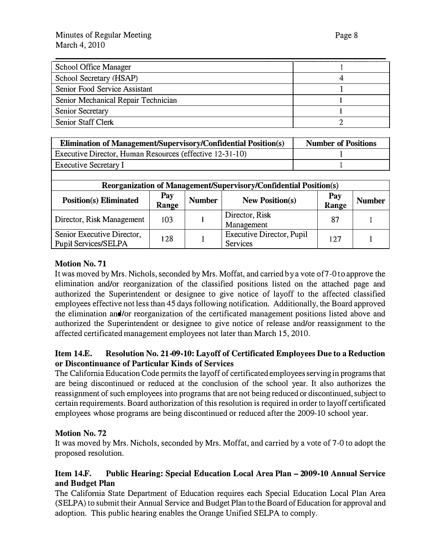| <b>School Office Manager</b>        |  |
|-------------------------------------|--|
| School Secretary (HSAP)             |  |
| Senior Food Service Assistant       |  |
| Senior Mechanical Repair Technician |  |
| <b>Senior Secretary</b>             |  |
| Senior Staff Clerk                  |  |

| <b>Elimination of Management/Supervisory/Confidential Position(s)</b> | <b>Number of Positions</b> |
|-----------------------------------------------------------------------|----------------------------|
| Executive Director, Human Resources (effective 12-31-10)              |                            |
| <b>Executive Secretary I</b>                                          |                            |

| Reorganization of Management/Supervisory/Confidential Position(s) |              |               |                                       |              |               |
|-------------------------------------------------------------------|--------------|---------------|---------------------------------------|--------------|---------------|
| <b>Position(s) Eliminated</b>                                     | Pay<br>Range | <b>Number</b> | <b>New Position(s)</b>                | Pay<br>Range | <b>Number</b> |
| Director, Risk Management                                         | 103          |               | Director, Risk<br>Management          | 87           |               |
| Senior Executive Director,<br><b>Pupil Services/SELPA</b>         | 128          |               | Executive Director, Pupil<br>Services | 127          |               |

## Motion No. 71

It was moved by Mrs. Nichols, seconded by Mrs. Moffat, and carried by a vote of7-0 to approve the elimination and/or reorganization of the classified positions listed on the attached page and authorized the Superintendent or designee to give notice of layoff to the affected classified employees effective not less than 45 days following notification. Additionally, the Board approved the elimination and/or reorganization of the certificated management positions listed above and authorized the Superintendent or designee to give notice of release and/or reassignment to the affected certificated management employees not later than March 15, 2010.

## Item 14.E. Resolution No. 21-09-10: Layoff of Certificated Employees Due to a Reduction or Discontinuance of Particular Kinds of Services

The California Education Code permits the layoff of certificated employees serving in programs that are being discontinued or reduced at the conclusion of the school year. It also authorizes the reassignment of such employees into programs that are not being reduced or discontinued, subject to certain requirements. Board authorization of this resolution is required in order to layoff certificated employees whose programs are being discontinued or reduced after the 2009-10 school year.

#### Motion No. 72

It was moved by Mrs. Nichols, seconded by Mrs. Moffat, and carried by a vote of 7-0 to adopt the proposed resolution.

## Item 14.F. Public Hearing: Special Education Local Area Plan- 2009-10 Annual Service and Budget Plan

The California State Department of Education requires each Special Education Local Plan Area (SELPA) to submit their Annual Service and Budget Plan to the Board of Education for approval and adoption. This public hearing enables the Orange Unified SELPA to comply.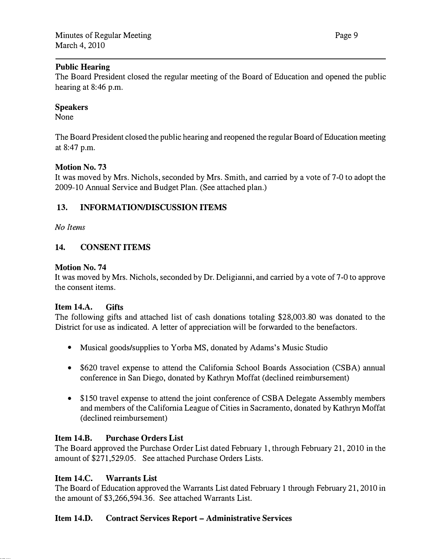#### Public Hearing

The Board President closed the regular meeting of the Board of Education and opened the public hearing at 8:46 p.m.

#### Speakers

None

The Board President closed the public hearing and reopened the regular Board of Education meeting at 8:47 p.m.

#### Motion No. 73

It was moved by Mrs. Nichols, seconded by Mrs. Smith, and carried by a vote of 7-0 to adopt the 2009-10 Annual Service and Budget Plan. (See attached plan.)

## 13. INFORMATION/DISCUSSION ITEMS

No Items

## 14. CONSENT ITEMS

#### Motion No. 74

It was moved by Mrs. Nichols, seconded by Dr. Deligianni, and carried by a vote of 7-0 to approve the consent items.

#### Item 14.A. Gifts

The following gifts and attached list of cash donations totaling \$28,003.80 was donated to the District for use as indicated. A letter of appreciation will be forwarded to the benefactors.

- Musical goods/supplies to Yorba MS, donated by Adams's Music Studio
- \$620 travel expense to attend the California School Boards Association (CSBA) annual conference in San Diego, donated by Kathryn Moffat (declined reimbursement)
- \$150 travel expense to attend the joint conference of CSBA Delegate Assembly members and members of the California League of Cities in Sacramento, donated by Kathryn Moffat (declined reimbursement)

#### Item 14.B. Purchase Orders List

The Board approved the Purchase Order List dated February 1, through February 21, 2010 in the amount of \$271,529.05. See attached Purchase Orders Lists.

#### Item 14.C. Warrants List

The Board of Education approved the Warrants List dated February 1 through February 21, 2010 in the amount of \$3,266,594.36. See attached Warrants List.

#### Item 14.D. Contract Services Report- Administrative Services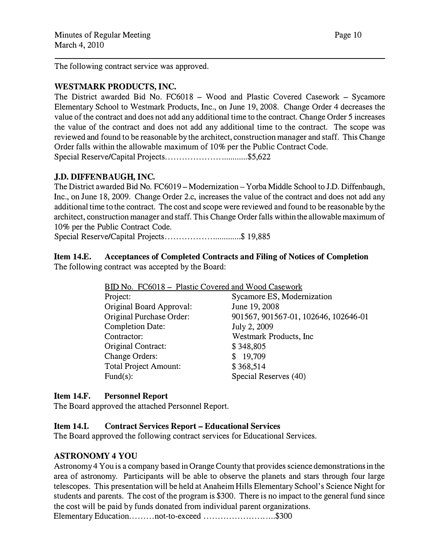The following contract service was approved.

#### WESTMARK PRODUCTS, INC.

The District awarded Bid No. FC6018 - Wood and Plastic Covered Casework - Sycamore Elementary School to Westmark Products, Inc., on June 19, 2008. Change Order 4 decreases the value of the contract and does not add any additional time to the contract. Change Order 5 increases the value of the contract and does not add any additional time to the contract. The scope was reviewed and found to be reasonable by the architect, construction manager and staff. This Change Order falls within the allowable maximum of 10% per the Public Contract Code. Special Reserve/Capital Projects ... ................. ............ \$5,622

#### J.D. DIFFENBAUGH, INC.

The District awarded Bid No. FC6019 – Modernization – Yorba Middle School to J.D. Diffenbaugh, Inc., on June 18, 2009. Change Order 2.c, increases the value of the contract and does not add any additional time to the contract. The cost and scope were reviewed and found to be reasonable by the architect, construction manager and staff. This Change Order falls within the allowable maximum of 10% per the Public Contract Code.

Special Reserve/Capital Projects.................................\$ 19,885

#### Item 14.E. Acceptances of Completed Contracts and Filing of Notices of Completion The following contract was accepted by the Board:

| BID No. FC6018 - Plastic Covered and Wood Casework |                                      |  |
|----------------------------------------------------|--------------------------------------|--|
| Project:                                           | Sycamore ES, Modernization           |  |
| Original Board Approval:                           | June 19, 2008                        |  |
| Original Purchase Order:                           | 901567, 901567-01, 102646, 102646-01 |  |
| <b>Completion Date:</b>                            | July 2, 2009                         |  |
| Contractor:                                        | Westmark Products, Inc               |  |
| Original Contract:                                 | \$348,805                            |  |
| <b>Change Orders:</b>                              | \$19,709                             |  |
| <b>Total Project Amount:</b>                       | \$368,514                            |  |
| Fund $(s)$ :                                       | Special Reserves (40)                |  |

#### Item 14.F. Personnel Report

The Board approved the attached Personnel Report.

#### Item 14.1. Contract Services Report- Educational Services

The Board approved the following contract services for Educational Services.

#### ASTRONOMY 4 YOU

Astronomy 4 You is a company based in Orange County that provides science demonstrations in the area of astronomy. Participants will be able to observe the planets and stars through four large telescopes. This presentation will be held at Anaheim Hills Elementary School's Science Night for students and parents. The cost of the program is \$300. There is no impact to the general fund since the cost will be paid by funds donated from individual parent organizations. Elementary Education.........not-to-exceed ............................\$300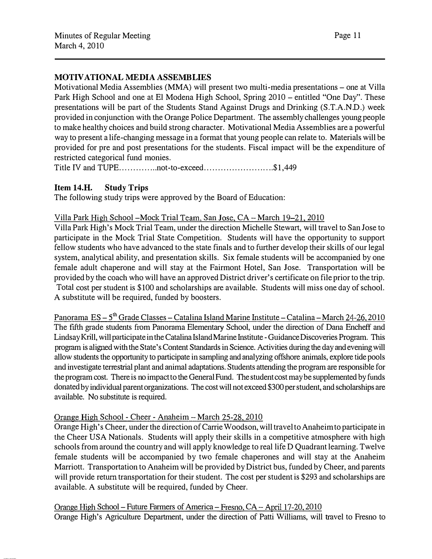## MOTIVATIONAL MEDIA ASSEMBLIES

Motivational Media Assemblies (MMA) will present two multi-media presentations- one at Villa Park High School and one at El Modena High School, Spring 2010 – entitled "One Day". These presentations will be part of the Students Stand Against Drugs and Drinking (S.T.A.N.D.) week provided in conjunction with the Orange Police Department. The assembly challenges young people to make healthy choices and build strong character. Motivational Media Assemblies are a powerful way to present a life-changing message in a format that young people can relate to. Materials will be provided for pre and post presentations for the students. Fiscal impact will be the expenditure of restricted categorical fund monies.

Title IV and TUPE...............not-to-exceed..........................\$1,449

#### Item 14.H. Study Trips

The following study trips were approved by the Board of Education:

#### Villa Park High School-Mock Trial Team. San Jose, CA- March 19-21, 2010

Villa Park High's Mock Trial Team, under the direction Michelle Stewart, will travel to San Jose to participate in the Mock Trial State Competition. Students will have the opportunity to support fellow students who have advanced to the state finals and to further develop their skills of our legal system, analytical ability, and presentation skills. Six female students will be accompanied by one female adult chaperone and will stay at the Fairmont Hotel, San Jose. Transportation will be provided by the coach who will have an approved District driver's certificate on file prior to the trip. Total cost per student is \$100 and scholarships are available. Students will miss one day of school. A substitute will be required, funded by boosters.

Panorama ES - S<sup>th</sup> Grade Classes - Catalina Island Marine Institute - Catalina - March 24-26, 2010 The fifth grade students from Panorama Elementary School, under the direction of Dana Encheff and Lindsay Krill, will participate in the Catalina Island Marine Institute-Guidance Discoveries Program. This program is aligned with the State's Content Standards in Science. Activities during the day and evening will allow students the opportunity to participate in sampling and analyzing offshore animals, explore tide pools and investigate terrestrial plant and animal adaptations. Students attending the program are responsible for the program cost. There is no impact to the General Fund. The student cost may be supplemented by funds donated by individual parent organizations. The cost will not exceed \$300 per student, and scholarships are available. No substitute is required.

#### Orange High School - Cheer - Anaheim- March 25-28, 2010

Orange High's Cheer, under the direction of Carrie Woodson, will travel to Anaheim to participate in the Cheer USA Nationals. Students will apply their skills in a competitive atmosphere with high schools from around the country and will apply knowledge to real life D Quadrant learning. Twelve female students will be accompanied by two female chaperones and will stay at the Anaheim Marriott. Transportation to Anaheim will be provided by District bus, funded by Cheer, and parents will provide return transportation for their student. The cost per student is \$293 and scholarships are available. A substitute will be required, funded by Cheer.

Orange High School- Future Farmers of America-Fresno, CA- April 17-20. 2010

Orange High's Agriculture Department, under the direction of Patti Williams, will travel to Fresno to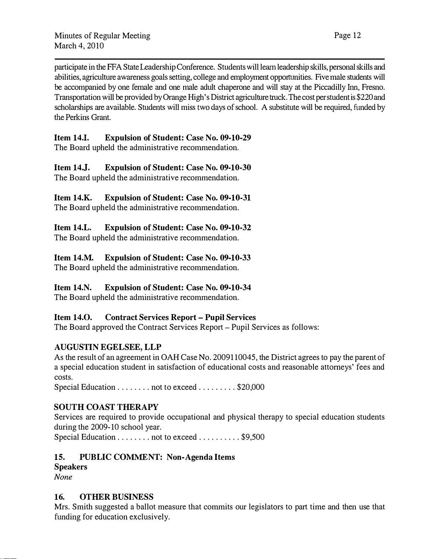participate in the FFA State Leadership Conference. Students will learn leadership skills, personal skills and abilities, agriculture awareness goals setting, college and employment opportunities. Five male students will be accompanied by one female and one male adult chaperone and will stay at the Piccadilly Inn, Fresno. Transportation will be provided by Orange High's District agriculture truck. The cost per student is \$220 and scholarships are available. Students will miss two days of school. A substitute will be required, funded by the Perkins Grant.

## Item 14.1. Expulsion of Student: Case No. 09-10-29

The Board upheld the administrative recommendation.

# Item 14.]. Expulsion of Student: Case No. 09-10-30

The Board upheld the administrative recommendation.

# Item 14.K. Expulsion of Student: Case No. 09-10-31

The Board upheld the administrative recommendation.

# Item 14.L. Expulsion of Student: Case No. 09-10-32

The Board upheld the administrative recommendation.

# Item 14.M. Expulsion of Student: Case No. 09-10-33

The Board upheld the administrative recommendation.

# Item 14.N. Expulsion of Student: Case No. 09-10-34

The Board upheld the administrative recommendation.

# Item 14.0. Contract Services Report- Pupil Services

The Board approved the Contract Services Report- Pupil Services as follows:

# AUGUSTIN EGELSEE, LLP

As the result of an agreement in OAH Case No. 2009110045, the District agrees to pay the parent of a special education student in satisfaction of educational costs and reasonable attorneys' fees and costs.

Special Education . . . . . . . . not to exceed . . . . . . . . . \$20,000

# SOUTH COAST THERAPY

Services are required to provide occupational and physical therapy to special education students during the 2009-10 school year.

Special Education . . . . . . . . not to exceed . . . . . . . . . \$9,500

# 15. PUBLIC COMMENT: Non-Agenda Items

# Speakers

None

# 16. OTHER BUSINESS

Mrs. Smith suggested a ballot measure that commits our legislators to part time and then use that funding for education exclusively.